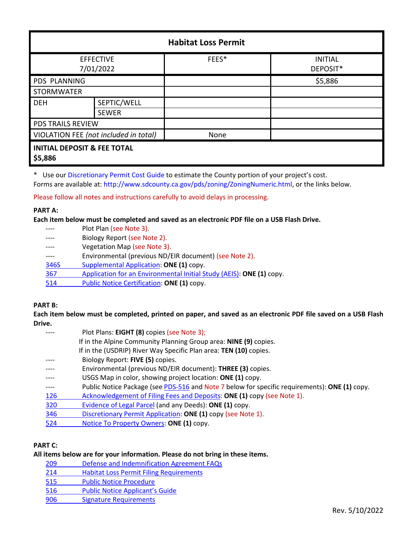| <b>Habitat Loss Permit</b>                        |              |       |                            |  |  |
|---------------------------------------------------|--------------|-------|----------------------------|--|--|
| <b>EFFECTIVE</b><br>7/01/2022                     |              | FEES* | <b>INITIAL</b><br>DEPOSIT* |  |  |
| <b>PDS PLANNING</b>                               |              |       | \$5,886                    |  |  |
| <b>STORMWATER</b>                                 |              |       |                            |  |  |
| <b>DEH</b>                                        | SEPTIC/WELL  |       |                            |  |  |
|                                                   | <b>SEWER</b> |       |                            |  |  |
| <b>PDS TRAILS REVIEW</b>                          |              |       |                            |  |  |
| VIOLATION FEE (not included in total)             |              | None  |                            |  |  |
| <b>INITIAL DEPOSIT &amp; FEE TOTAL</b><br>\$5,886 |              |       |                            |  |  |

\* Use our [Discretionary Permit Cost Guide](http://www.sandiegocounty.gov/content/dam/sdc/pds/docs/Discretionary_Permit_Cost_Guide.xlsx) to estimate the County portion of your project's cost.

Forms are available at: [http://www.sdcounty.ca.gov/pds/zoning/ZoningNumeric.html,](http://www.sdcounty.ca.gov/pds/zoning/ZoningNumeric.html) or the links below.

Please follow all notes and instructions carefully to avoid delays in processing.

## **PART A:**

**Each item below must be completed and saved as an electronic PDF file on a USB Flash Drive.**

|      | Plot Plan (see Note 3).                                              |
|------|----------------------------------------------------------------------|
|      | Biology Report (see Note 2).                                         |
|      | Vegetation Map (see Note 3).                                         |
|      | Environmental (previous ND/EIR document) (see Note 2).               |
| 346S | Supplemental Application: ONE (1) copy.                              |
| 367  | Application for an Environmental Initial Study (AEIS): ONE (1) copy. |
| 514  | Public Notice Certification: ONE (1) copy.                           |
|      |                                                                      |

# **PART B:**

**Each item below must be completed, printed on paper, and saved as an electronic PDF file saved on a USB Flash Drive.**

|      | Plot Plans: EIGHT (8) copies (see Note 3);                                                    |
|------|-----------------------------------------------------------------------------------------------|
|      | If in the Alpine Community Planning Group area: NINE (9) copies.                              |
|      | If in the (USDRIP) River Way Specific Plan area: TEN (10) copies.                             |
|      | Biology Report: FIVE (5) copies.                                                              |
|      | Environmental (previous ND/EIR document): THREE (3) copies.                                   |
|      | USGS Map in color, showing project location: ONE (1) copy.                                    |
| ---- | Public Notice Package (see PDS-516 and Note 7 below for specific requirements): ONE (1) copy. |
| 126  | Acknowledgement of Filing Fees and Deposits: ONE (1) copy (see Note 1).                       |
| 320  | Evidence of Legal Parcel (and any Deeds): ONE (1) copy.                                       |
| 346  | Discretionary Permit Application: ONE (1) copy (see Note 1).                                  |
| 524  | Notice To Property Owners: ONE (1) copy.                                                      |
|      |                                                                                               |

# **PART C:**

# **All items below are for your information. Please do not bring in these items.**

- 209 [Defense and Indemnification Agreement FAQs](http://www.sdcounty.ca.gov/pds/zoning/formfields/PDS-PLN-209.pdf)
- 214 [Habitat Loss Permit Filing Requirements](http://www.sdcounty.ca.gov/pds/zoning/formfields/PDS-PLN-214.pdf)
- [515 Public Notice Procedure](http://www.sdcounty.ca.gov/pds/zoning/formfields/PDS-PLN-515.pdf)
- [516 Public Notice Applicant's Guide](http://www.sdcounty.ca.gov/pds/zoning/formfields/PDS-PLN-516.pdf)
- [906 Signature Requirements](http://www.sdcounty.ca.gov/pds/zoning/formfields/PDS-PLN-906.pdf)